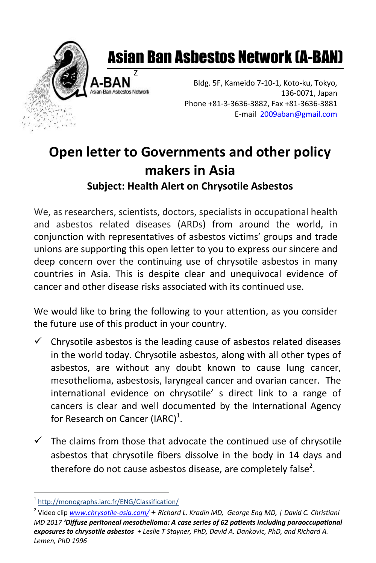

## Asian Ban Asbestos Network (A-BAN)

Bldg. 5F, Kameido 7-10-1, Koto-ku, Tokyo, 136-0071, Japan Phone +81-3-3636-3882, Fax +81-3636-3881 E-mail [2009aban@gmail.com](mailto:2009aban@gmail.com)

## **Open letter to Governments and other policy makers in Asia Subject: Health Alert on Chrysotile Asbestos**

Z

We, as researchers, scientists, doctors, specialists in occupational health and asbestos related diseases (ARDs) from around the world, in conjunction with representatives of asbestos victims' groups and trade unions are supporting this open letter to you to express our sincere and deep concern over the continuing use of chrysotile asbestos in many countries in Asia. This is despite clear and unequivocal evidence of cancer and other disease risks associated with its continued use.

We would like to bring the following to your attention, as you consider the future use of this product in your country.

- $\checkmark$  Chrysotile asbestos is the leading cause of asbestos related diseases in the world today. Chrysotile asbestos, along with all other types of asbestos, are without any doubt known to cause lung cancer, mesothelioma, asbestosis, laryngeal cancer and ovarian cancer. The international evidence on chrysotile' s direct link to a range of cancers is clear and well documented by the International Agency for Research on Cancer (IARC) $^1$ .
- $\checkmark$  The claims from those that advocate the continued use of chrysotile asbestos that chrysotile fibers dissolve in the body in 14 days and therefore do not cause asbestos disease, are completely false<sup>2</sup>.

l

<sup>1</sup> <http://monographs.iarc.fr/ENG/Classification/>

<sup>2</sup> Video clip *[www.chrysotile-asia.com/](http://www.chrysotile-asia.com/) + Richard L. Kradin MD, George Eng MD, | David C. Christiani MD 2017 'Diffuse peritoneal mesothelioma: A case series of 62 patients including paraoccupational exposures to chrysotile asbestos + Leslie T Stayner, PhD, David A. Dankovic, PhD, and Richard A. Lemen, PhD 1996*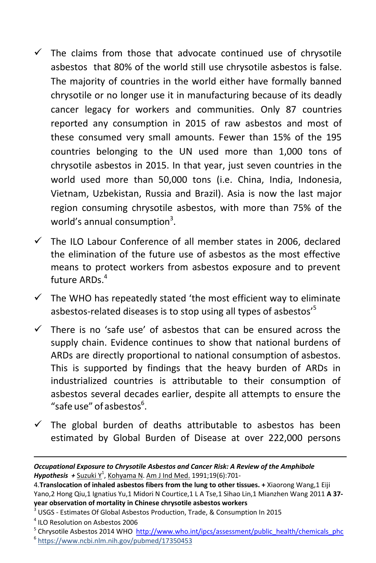- $\checkmark$  The claims from those that advocate continued use of chrysotile asbestos that 80% of the world still use chrysotile asbestos is false. The majority of countries in the world either have formally banned chrysotile or no longer use it in manufacturing because of its deadly cancer legacy for workers and communities. Only 87 countries reported any consumption in 2015 of raw asbestos and most of these consumed very small amounts. Fewer than 15% of the 195 countries belonging to the UN used more than 1,000 tons of chrysotile asbestos in 2015. In that year, just seven countries in the world used more than 50,000 tons (i.e. China, India, Indonesia, Vietnam, Uzbekistan, Russia and Brazil). Asia is now the last major region consuming chrysotile asbestos, with more than 75% of the world's annual consumption<sup>3</sup>.
- $\checkmark$  The ILO Labour Conference of all member states in 2006, declared the elimination of the future use of asbestos as the most effective means to protect workers from asbestos exposure and to prevent future ARDs. 4
- $\checkmark$  The WHO has repeatedly stated 'the most efficient way to eliminate asbestos-related diseases is to stop using all types of asbestos'<sup>5</sup>
- $\checkmark$  There is no 'safe use' of asbestos that can be ensured across the supply chain. Evidence continues to show that national burdens of ARDs are directly proportional to national consumption of asbestos. This is supported by findings that the heavy burden of ARDs in industrialized countries is attributable to their consumption of asbestos several decades earlier, despite all attempts to ensure the "safe use" of asbestos $6$ .
- $\checkmark$  The global burden of deaths attributable to asbestos has been estimated by Global Burden of Disease at over 222,000 persons

l

*Occupational Exposure to Chrysotile Asbestos and Cancer Risk: A Review of the Amphibole Hypothesis +* [Suzuki Y](https://www.ncbi.nlm.nih.gov/pubmed/?term=Suzuki%20Y%5BAuthor%5D&cauthor=true&cauthor_uid=1882849)<sup>1</sup> , [Kohyama N.](https://www.ncbi.nlm.nih.gov/pubmed/?term=Kohyama%20N%5BAuthor%5D&cauthor=true&cauthor_uid=1882849) [Am J Ind Med.](https://www.ncbi.nlm.nih.gov/pubmed?term=Kohyama+N%5Bauthor%5D+AND+translocation+of+inhaled+asbestos&TransSchema=title&cmd=detailssearch) 1991;19(6):701-

<sup>4.</sup>**Translocation of inhaled asbestos fibers from the lung to other tissues. +** Xiaorong Wang,1 Eiji Yano,2 Hong Qiu,1 Ignatius Yu,1 Midori N Courtice,1 L A Tse,1 Sihao Lin,1 Mianzhen Wang 2011 **A 37 year observation of mortality in Chinese chrysotile asbestos workers** 

<sup>&</sup>lt;sup>3</sup> USGS - Estimates Of Global Asbestos Production, Trade, & Consumption In 2015

<sup>4</sup> ILO Resolution on Asbestos 2006

<sup>&</sup>lt;sup>5</sup> Chrysotile Asbestos 2014 WHO [http://www.who.int/ipcs/assessment/public\\_health/chemicals\\_phc](http://www.who.int/ipcs/assessment/public_health/chemicals_phc)

<sup>6</sup> <https://www.ncbi.nlm.nih.gov/pubmed/17350453>